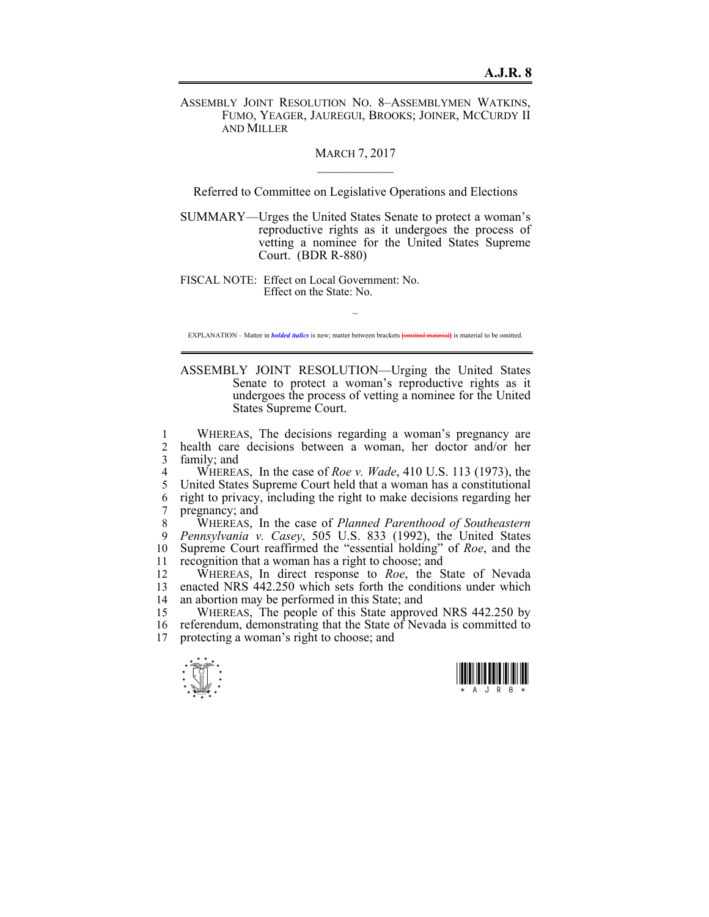ASSEMBLY JOINT RESOLUTION NO. 8–ASSEMBLYMEN WATKINS, FUMO, YEAGER, JAUREGUI, BROOKS; JOINER, MCCURDY II AND MILLER

## **MARCH 7, 2017**

Referred to Committee on Legislative Operations and Elections

SUMMARY—Urges the United States Senate to protect a woman's reproductive rights as it undergoes the process of vetting a nominee for the United States Supreme Court. (BDR R-880)

FISCAL NOTE: Effect on Local Government: No. Effect on the State: No.

 $\sim$ EXPLANATION – Matter in *bolded italics* is new; matter between brackets **[**omitted material**]** is material to be omitted.

ASSEMBLY JOINT RESOLUTION—Urging the United States Senate to protect a woman's reproductive rights as it undergoes the process of vetting a nominee for the United States Supreme Court.

1 WHEREAS, The decisions regarding a woman's pregnancy are 2 health care decisions between a woman, her doctor and/or her 3 family; and

4 WHEREAS, In the case of *Roe v. Wade*, 410 U.S. 113 (1973), the 5 United States Supreme Court held that a woman has a constitutional 6 right to privacy, including the right to make decisions regarding her 7 pregnancy; and

8 WHEREAS, In the case of *Planned Parenthood of Southeastern*  9 *Pennsylvania v. Casey*, 505 U.S. 833 (1992), the United States 10 Supreme Court reaffirmed the "essential holding" of *Roe*, and the 11 recognition that a woman has a right to choose; and

12 WHEREAS, In direct response to *Roe*, the State of Nevada 13 enacted NRS 442.250 which sets forth the conditions under which 14 an abortion may be performed in this State; and

15 WHEREAS, The people of this State approved NRS 442.250 by 16 referendum, demonstrating that the State of Nevada is committed to 17 protecting a woman's right to choose; and